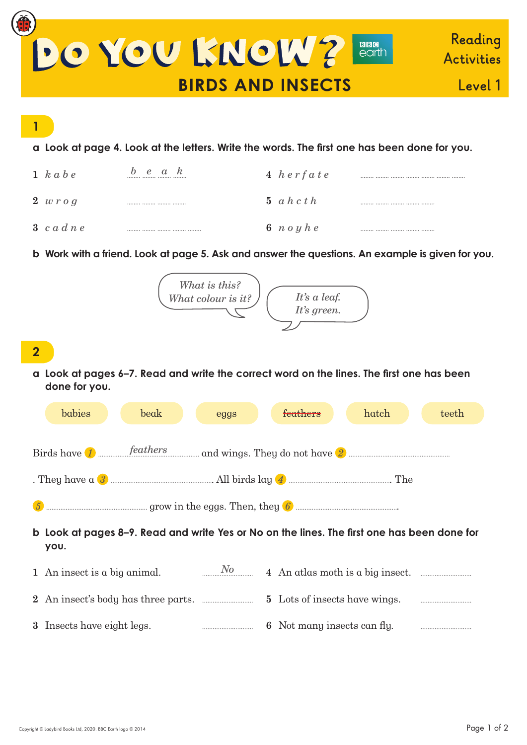